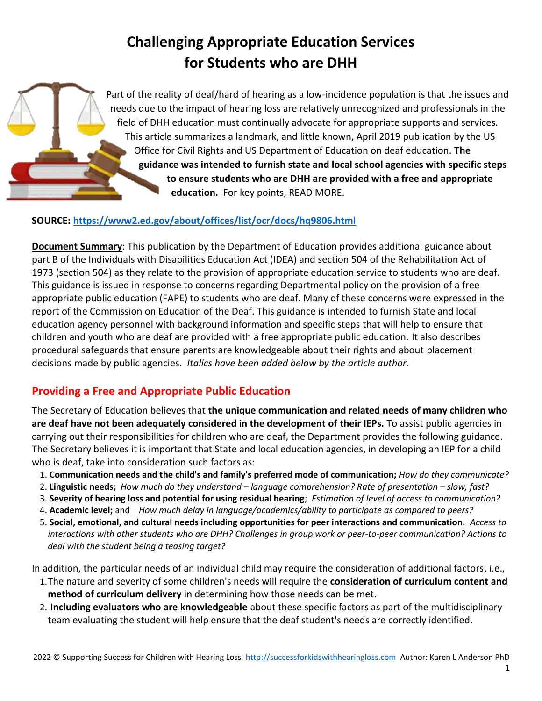# **Challenging Appropriate Education Services for Students who are DHH**

Part of the reality of deaf/hard of hearing as a low-incidence population is that the issues and needs due to the impact of hearing loss are relatively unrecognized and professionals in the field of DHH education must continually advocate for appropriate supports and services. This article summarizes a landmark, and little known, April 2019 publication by the US Office for Civil Rights and US Department of Education on deaf education. **The guidance was intended to furnish state and local school agencies with specific steps to ensure students who are DHH are provided with a free and appropriate education.** For key points, READ MORE.

### **SOURCE:<https://www2.ed.gov/about/offices/list/ocr/docs/hq9806.html>**

**Document Summary**: This publication by the Department of Education provides additional guidance about part B of the Individuals with Disabilities Education Act (IDEA) and section 504 of the Rehabilitation Act of 1973 (section 504) as they relate to the provision of appropriate education service to students who are deaf. This guidance is issued in response to concerns regarding Departmental policy on the provision of a free appropriate public education (FAPE) to students who are deaf. Many of these concerns were expressed in the report of the Commission on Education of the Deaf. This guidance is intended to furnish State and local education agency personnel with background information and specific steps that will help to ensure that children and youth who are deaf are provided with a free appropriate public education. It also describes procedural safeguards that ensure parents are knowledgeable about their rights and about placement decisions made by public agencies. *Italics have been added below by the article author.*

## **Providing a Free and Appropriate Public Education**

The Secretary of Education believes that **the unique communication and related needs of many children who are deaf have not been adequately considered in the development of their IEPs.** To assist public agencies in carrying out their responsibilities for children who are deaf, the Department provides the following guidance. The Secretary believes it is important that State and local education agencies, in developing an IEP for a child who is deaf, take into consideration such factors as:

- 1. **Communication needs and the child's and family's preferred mode of communication;** *How do they communicate?*
- 2. **Linguistic needs;** *How much do they understand – language comprehension? Rate of presentation – slow, fast?*
- 3. **Severity of hearing loss and potential for using residual hearing**; *Estimation of level of access to communication?*
- 4. **Academic level;** and *How much delay in language/academics/ability to participate as compared to peers?*
- 5. **Social, emotional, and cultural needs including opportunities for peer interactions and communication.** *Access to interactions with other students who are DHH? Challenges in group work or peer-to-peer communication? Actions to deal with the student being a teasing target?*

In addition, the particular needs of an individual child may require the consideration of additional factors, i.e.,

- 1.The nature and severity of some children's needs will require the **consideration of curriculum content and method of curriculum delivery** in determining how those needs can be met.
- 2. **Including evaluators who are knowledgeable** about these specific factors as part of the multidisciplinary team evaluating the student will help ensure that the deaf student's needs are correctly identified.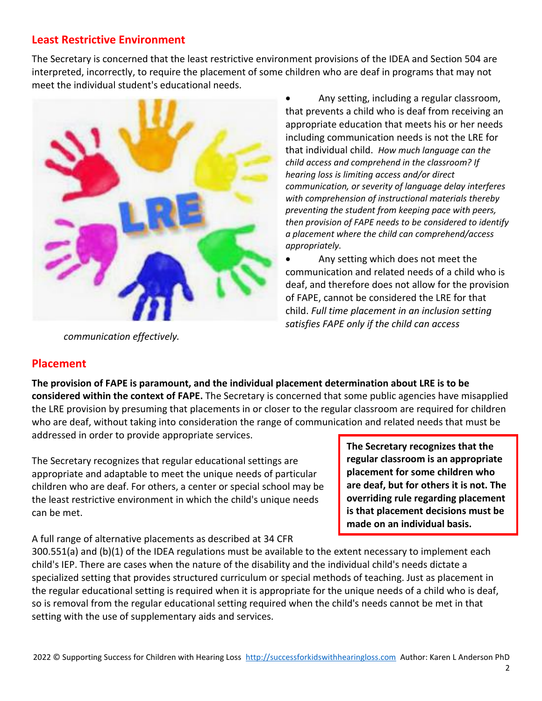### **Least Restrictive Environment**

The Secretary is concerned that the least restrictive environment provisions of the IDEA and Section 504 are interpreted, incorrectly, to require the placement of some children who are deaf in programs that may not meet the individual student's educational needs.



• Any setting, including a regular classroom, that prevents a child who is deaf from receiving an appropriate education that meets his or her needs including communication needs is not the LRE for that individual child. *How much language can the child access and comprehend in the classroom? If hearing loss is limiting access and/or direct communication, or severity of language delay interferes with comprehension of instructional materials thereby preventing the student from keeping pace with peers, then provision of FAPE needs to be considered to identify a placement where the child can comprehend/access appropriately.* 

• Any setting which does not meet the communication and related needs of a child who is deaf, and therefore does not allow for the provision of FAPE, cannot be considered the LRE for that child. *Full time placement in an inclusion setting satisfies FAPE only if the child can access* 

*communication effectively.* 

## **Placement**

**The provision of FAPE is paramount, and the individual placement determination about LRE is to be considered within the context of FAPE.** The Secretary is concerned that some public agencies have misapplied the LRE provision by presuming that placements in or closer to the regular classroom are required for children who are deaf, without taking into consideration the range of communication and related needs that must be addressed in order to provide appropriate services.

The Secretary recognizes that regular educational settings are appropriate and adaptable to meet the unique needs of particular children who are deaf. For others, a center or special school may be the least restrictive environment in which the child's unique needs can be met.

A full range of alternative placements as described at 34 CFR

**The Secretary recognizes that the regular classroom is an appropriate placement for some children who are deaf, but for others it is not. The overriding rule regarding placement is that placement decisions must be made on an individual basis.**

300.551(a) and (b)(1) of the IDEA regulations must be available to the extent necessary to implement each child's IEP. There are cases when the nature of the disability and the individual child's needs dictate a specialized setting that provides structured curriculum or special methods of teaching. Just as placement in the regular educational setting is required when it is appropriate for the unique needs of a child who is deaf, so is removal from the regular educational setting required when the child's needs cannot be met in that setting with the use of supplementary aids and services.